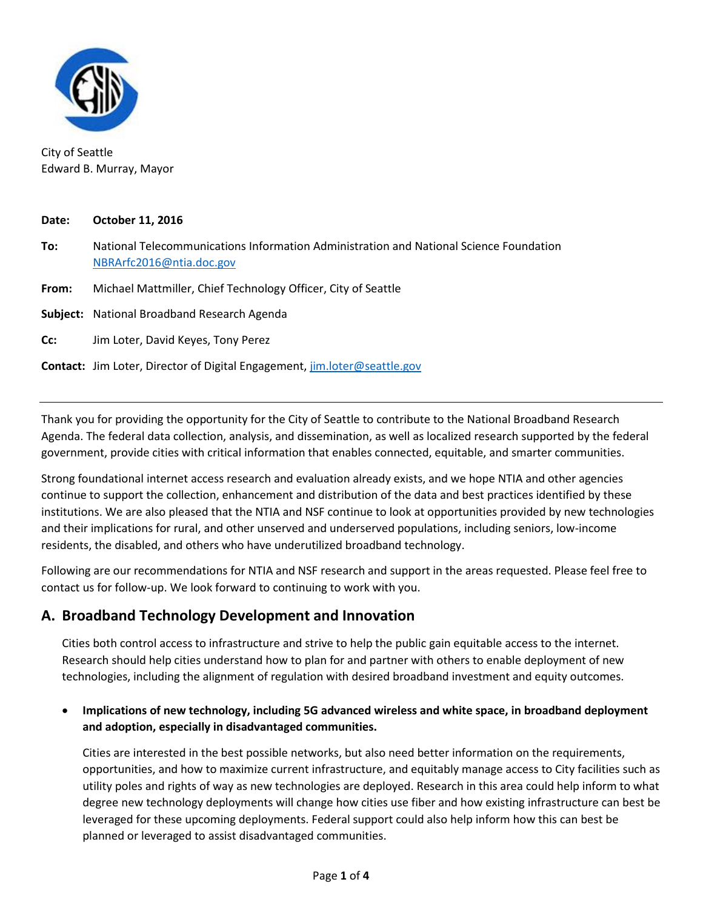

City of Seattle Edward B. Murray, Mayor

#### **Date: October 11, 2016**

- **To:** National Telecommunications Information Administration and National Science Foundation [NBRArfc2016@ntia.doc.gov](mailto:NBRArfc2016@ntia.doc.gov)
- **From:** Michael Mattmiller, Chief Technology Officer, City of Seattle

**Subject:** National Broadband Research Agenda

- **Cc:** Jim Loter, David Keyes, Tony Perez
- **Contact:** Jim Loter, Director of Digital Engagement, [jim.loter@seattle.gov](mailto:jim.loter@seattle.gov)

Thank you for providing the opportunity for the City of Seattle to contribute to the National Broadband Research Agenda. The federal data collection, analysis, and dissemination, as well as localized research supported by the federal government, provide cities with critical information that enables connected, equitable, and smarter communities.

Strong foundational internet access research and evaluation already exists, and we hope NTIA and other agencies continue to support the collection, enhancement and distribution of the data and best practices identified by these institutions. We are also pleased that the NTIA and NSF continue to look at opportunities provided by new technologies and their implications for rural, and other unserved and underserved populations, including seniors, low-income residents, the disabled, and others who have underutilized broadband technology.

Following are our recommendations for NTIA and NSF research and support in the areas requested. Please feel free to contact us for follow-up. We look forward to continuing to work with you.

## **A. Broadband Technology Development and Innovation**

Cities both control access to infrastructure and strive to help the public gain equitable access to the internet. Research should help cities understand how to plan for and partner with others to enable deployment of new technologies, including the alignment of regulation with desired broadband investment and equity outcomes.

#### • **Implications of new technology, including 5G advanced wireless and white space, in broadband deployment and adoption, especially in disadvantaged communities.**

Cities are interested in the best possible networks, but also need better information on the requirements, opportunities, and how to maximize current infrastructure, and equitably manage access to City facilities such as utility poles and rights of way as new technologies are deployed. Research in this area could help inform to what degree new technology deployments will change how cities use fiber and how existing infrastructure can best be leveraged for these upcoming deployments. Federal support could also help inform how this can best be planned or leveraged to assist disadvantaged communities.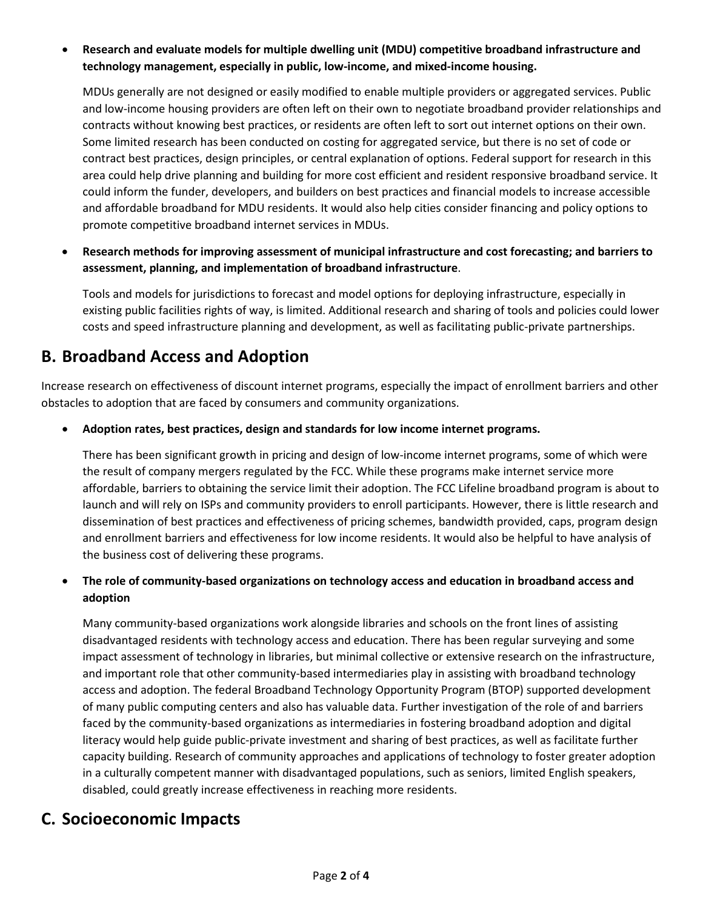• **Research and evaluate models for multiple dwelling unit (MDU) competitive broadband infrastructure and technology management, especially in public, low-income, and mixed-income housing.** 

MDUs generally are not designed or easily modified to enable multiple providers or aggregated services. Public and low-income housing providers are often left on their own to negotiate broadband provider relationships and contracts without knowing best practices, or residents are often left to sort out internet options on their own. Some limited research has been conducted on costing for aggregated service, but there is no set of code or contract best practices, design principles, or central explanation of options. Federal support for research in this area could help drive planning and building for more cost efficient and resident responsive broadband service. It could inform the funder, developers, and builders on best practices and financial models to increase accessible and affordable broadband for MDU residents. It would also help cities consider financing and policy options to promote competitive broadband internet services in MDUs.

• **Research methods for improving assessment of municipal infrastructure and cost forecasting; and barriers to assessment, planning, and implementation of broadband infrastructure**.

Tools and models for jurisdictions to forecast and model options for deploying infrastructure, especially in existing public facilities rights of way, is limited. Additional research and sharing of tools and policies could lower costs and speed infrastructure planning and development, as well as facilitating public-private partnerships.

# **B. Broadband Access and Adoption**

Increase research on effectiveness of discount internet programs, especially the impact of enrollment barriers and other obstacles to adoption that are faced by consumers and community organizations.

• **Adoption rates, best practices, design and standards for low income internet programs.**

There has been significant growth in pricing and design of low-income internet programs, some of which were the result of company mergers regulated by the FCC. While these programs make internet service more affordable, barriers to obtaining the service limit their adoption. The FCC Lifeline broadband program is about to launch and will rely on ISPs and community providers to enroll participants. However, there is little research and dissemination of best practices and effectiveness of pricing schemes, bandwidth provided, caps, program design and enrollment barriers and effectiveness for low income residents. It would also be helpful to have analysis of the business cost of delivering these programs.

• **The role of community-based organizations on technology access and education in broadband access and adoption**

Many community-based organizations work alongside libraries and schools on the front lines of assisting disadvantaged residents with technology access and education. There has been regular surveying and some impact assessment of technology in libraries, but minimal collective or extensive research on the infrastructure, and important role that other community-based intermediaries play in assisting with broadband technology access and adoption. The federal Broadband Technology Opportunity Program (BTOP) supported development of many public computing centers and also has valuable data. Further investigation of the role of and barriers faced by the community-based organizations as intermediaries in fostering broadband adoption and digital literacy would help guide public-private investment and sharing of best practices, as well as facilitate further capacity building. Research of community approaches and applications of technology to foster greater adoption in a culturally competent manner with disadvantaged populations, such as seniors, limited English speakers, disabled, could greatly increase effectiveness in reaching more residents.

## **C. Socioeconomic Impacts**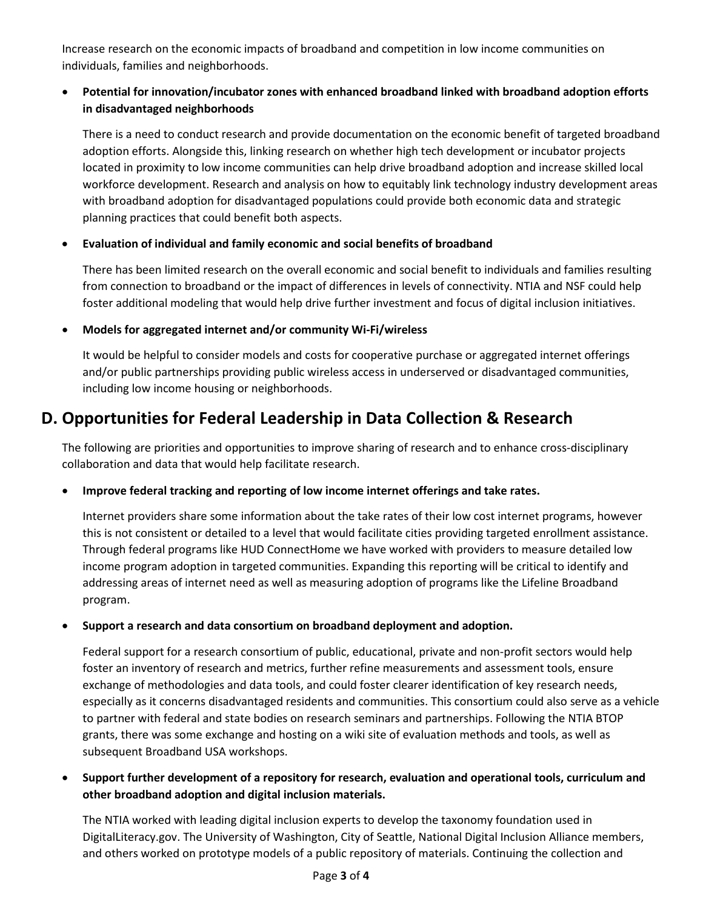Increase research on the economic impacts of broadband and competition in low income communities on individuals, families and neighborhoods.

#### • **Potential for innovation/incubator zones with enhanced broadband linked with broadband adoption efforts in disadvantaged neighborhoods**

There is a need to conduct research and provide documentation on the economic benefit of targeted broadband adoption efforts. Alongside this, linking research on whether high tech development or incubator projects located in proximity to low income communities can help drive broadband adoption and increase skilled local workforce development. Research and analysis on how to equitably link technology industry development areas with broadband adoption for disadvantaged populations could provide both economic data and strategic planning practices that could benefit both aspects.

### • **Evaluation of individual and family economic and social benefits of broadband**

There has been limited research on the overall economic and social benefit to individuals and families resulting from connection to broadband or the impact of differences in levels of connectivity. NTIA and NSF could help foster additional modeling that would help drive further investment and focus of digital inclusion initiatives.

### • **Models for aggregated internet and/or community Wi-Fi/wireless**

It would be helpful to consider models and costs for cooperative purchase or aggregated internet offerings and/or public partnerships providing public wireless access in underserved or disadvantaged communities, including low income housing or neighborhoods.

# **D. Opportunities for Federal Leadership in Data Collection & Research**

The following are priorities and opportunities to improve sharing of research and to enhance cross-disciplinary collaboration and data that would help facilitate research.

#### • **Improve federal tracking and reporting of low income internet offerings and take rates.**

Internet providers share some information about the take rates of their low cost internet programs, however this is not consistent or detailed to a level that would facilitate cities providing targeted enrollment assistance. Through federal programs like HUD ConnectHome we have worked with providers to measure detailed low income program adoption in targeted communities. Expanding this reporting will be critical to identify and addressing areas of internet need as well as measuring adoption of programs like the Lifeline Broadband program.

#### • **Support a research and data consortium on broadband deployment and adoption.**

Federal support for a research consortium of public, educational, private and non-profit sectors would help foster an inventory of research and metrics, further refine measurements and assessment tools, ensure exchange of methodologies and data tools, and could foster clearer identification of key research needs, especially as it concerns disadvantaged residents and communities. This consortium could also serve as a vehicle to partner with federal and state bodies on research seminars and partnerships. Following the NTIA BTOP grants, there was some exchange and hosting on a wiki site of evaluation methods and tools, as well as subsequent Broadband USA workshops.

• **Support further development of a repository for research, evaluation and operational tools, curriculum and other broadband adoption and digital inclusion materials.** 

The NTIA worked with leading digital inclusion experts to develop the taxonomy foundation used in DigitalLiteracy.gov. The University of Washington, City of Seattle, National Digital Inclusion Alliance members, and others worked on prototype models of a public repository of materials. Continuing the collection and